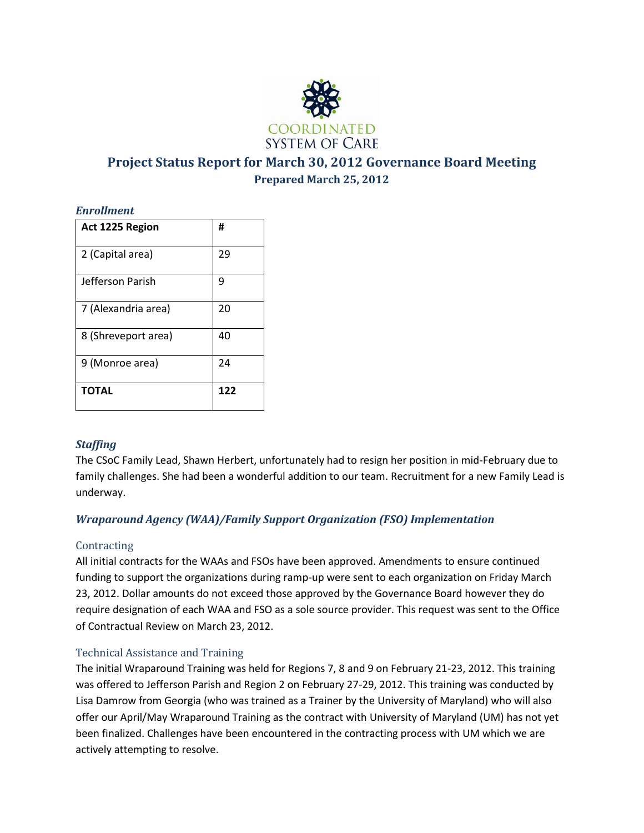

# **Project Status Report for March 30, 2012 Governance Board Meeting Prepared March 25, 2012**

### *Enrollment*

| Act 1225 Region     | #   |
|---------------------|-----|
| 2 (Capital area)    | 29  |
| Jefferson Parish    | ٩   |
| 7 (Alexandria area) | 20  |
| 8 (Shreveport area) | 40  |
| 9 (Monroe area)     | 24  |
| <b>TOTAL</b>        | 122 |

# *Staffing*

The CSoC Family Lead, Shawn Herbert, unfortunately had to resign her position in mid-February due to family challenges. She had been a wonderful addition to our team. Recruitment for a new Family Lead is underway.

# *Wraparound Agency (WAA)/Family Support Organization (FSO) Implementation*

### **Contracting**

All initial contracts for the WAAs and FSOs have been approved. Amendments to ensure continued funding to support the organizations during ramp-up were sent to each organization on Friday March 23, 2012. Dollar amounts do not exceed those approved by the Governance Board however they do require designation of each WAA and FSO as a sole source provider. This request was sent to the Office of Contractual Review on March 23, 2012.

# Technical Assistance and Training

The initial Wraparound Training was held for Regions 7, 8 and 9 on February 21-23, 2012. This training was offered to Jefferson Parish and Region 2 on February 27-29, 2012. This training was conducted by Lisa Damrow from Georgia (who was trained as a Trainer by the University of Maryland) who will also offer our April/May Wraparound Training as the contract with University of Maryland (UM) has not yet been finalized. Challenges have been encountered in the contracting process with UM which we are actively attempting to resolve.